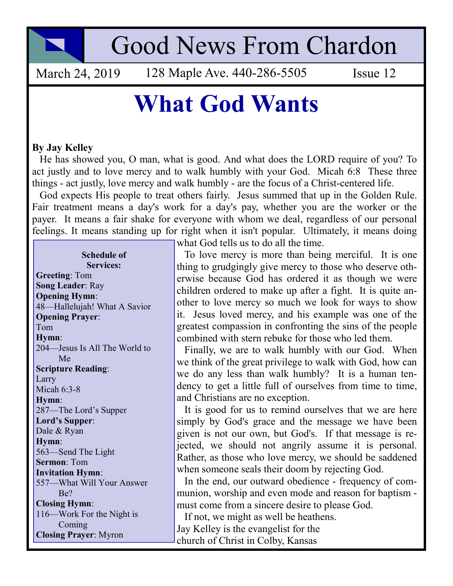

## Good News From Chardon

March 24, 2019 128 Maple Ave. 440-286-5505 Issue 12

## What God Wants

## By Jay Kelley

 He has showed you, O man, what is good. And what does the LORD require of you? To act justly and to love mercy and to walk humbly with your God. Micah 6:8 These three things - act justly, love mercy and walk humbly - are the focus of a Christ-centered life.

 God expects His people to treat others fairly. Jesus summed that up in the Golden Rule. Fair treatment means a day's work for a day's pay, whether you are the worker or the payer. It means a fair shake for everyone with whom we deal, regardless of our personal feelings. It means standing up for right when it isn't popular. Ultimately, it means doing

## Schedule of Services:

Greeting: Tom Song Leader: Ray Opening Hymn: 48—Hallelujah! What A Savior Opening Prayer: Tom Hymn: 204—Jesus Is All The World to Me Scripture Reading: Larry Micah 6:3-8 Hymn: 287—The Lord's Supper Lord's Supper: Dale & Ryan Hymn: 563—Send The Light Sermon: Tom Invitation Hymn: 557—What Will Your Answer Be? Closing Hymn: 116—Work For the Night is Coming Closing Prayer: Myron

what God tells us to do all the time.

 To love mercy is more than being merciful. It is one thing to grudgingly give mercy to those who deserve otherwise because God has ordered it as though we were children ordered to make up after a fight. It is quite another to love mercy so much we look for ways to show it. Jesus loved mercy, and his example was one of the greatest compassion in confronting the sins of the people combined with stern rebuke for those who led them.

 Finally, we are to walk humbly with our God. When we think of the great privilege to walk with God, how can we do any less than walk humbly? It is a human tendency to get a little full of ourselves from time to time, and Christians are no exception.

 It is good for us to remind ourselves that we are here simply by God's grace and the message we have been given is not our own, but God's. If that message is rejected, we should not angrily assume it is personal. Rather, as those who love mercy, we should be saddened when someone seals their doom by rejecting God.

 In the end, our outward obedience - frequency of communion, worship and even mode and reason for baptism must come from a sincere desire to please God.

If not, we might as well be heathens.

Jay Kelley is the evangelist for the church of Christ in Colby, Kansas